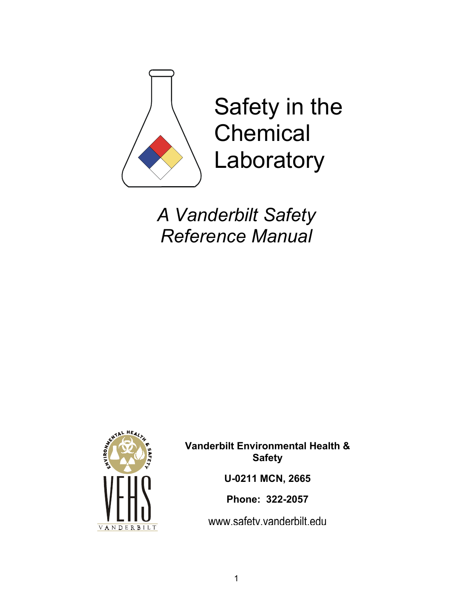

*A Vanderbilt Safety Reference Manual* 



**Vanderbilt Environmental Health & Safety U-0211 MCN, 2665 Phone: 322-2057** 

www.safety.vanderbilt.edu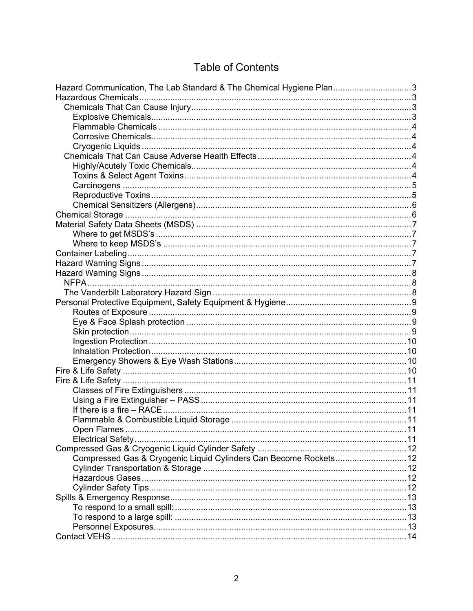# **Table of Contents**

| Hazard Communication, The Lab Standard & The Chemical Hygiene Plan3 |  |
|---------------------------------------------------------------------|--|
|                                                                     |  |
|                                                                     |  |
|                                                                     |  |
|                                                                     |  |
|                                                                     |  |
|                                                                     |  |
|                                                                     |  |
|                                                                     |  |
|                                                                     |  |
|                                                                     |  |
|                                                                     |  |
|                                                                     |  |
|                                                                     |  |
|                                                                     |  |
|                                                                     |  |
|                                                                     |  |
|                                                                     |  |
|                                                                     |  |
|                                                                     |  |
|                                                                     |  |
|                                                                     |  |
|                                                                     |  |
|                                                                     |  |
|                                                                     |  |
|                                                                     |  |
|                                                                     |  |
|                                                                     |  |
|                                                                     |  |
|                                                                     |  |
|                                                                     |  |
|                                                                     |  |
|                                                                     |  |
|                                                                     |  |
|                                                                     |  |
|                                                                     |  |
|                                                                     |  |
|                                                                     |  |
| Compressed Gas & Cryogenic Liquid Cylinders Can Become Rockets 12   |  |
|                                                                     |  |
|                                                                     |  |
|                                                                     |  |
|                                                                     |  |
|                                                                     |  |
|                                                                     |  |
|                                                                     |  |
|                                                                     |  |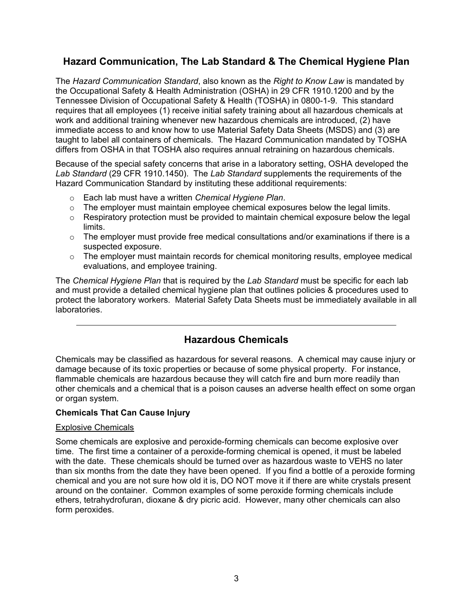## <span id="page-2-0"></span>**Hazard Communication, The Lab Standard & The Chemical Hygiene Plan**

The *Hazard Communication Standard*, also known as the *Right to Know Law* is mandated by the Occupational Safety & Health Administration (OSHA) in 29 CFR 1910.1200 and by the Tennessee Division of Occupational Safety & Health (TOSHA) in 0800-1-9. This standard requires that all employees (1) receive initial safety training about all hazardous chemicals at work and additional training whenever new hazardous chemicals are introduced, (2) have immediate access to and know how to use Material Safety Data Sheets (MSDS) and (3) are taught to label all containers of chemicals. The Hazard Communication mandated by TOSHA differs from OSHA in that TOSHA also requires annual retraining on hazardous chemicals.

Because of the special safety concerns that arise in a laboratory setting, OSHA developed the *Lab Standard* (29 CFR 1910.1450). The *Lab Standard* supplements the requirements of the Hazard Communication Standard by instituting these additional requirements:

- o Each lab must have a written *Chemical Hygiene Plan*.
- $\circ$  The employer must maintain employee chemical exposures below the legal limits.
- $\circ$  Respiratory protection must be provided to maintain chemical exposure below the legal limits.
- o The employer must provide free medical consultations and/or examinations if there is a suspected exposure.
- $\circ$  The employer must maintain records for chemical monitoring results, employee medical evaluations, and employee training.

The *Chemical Hygiene Plan* that is required by the *Lab Standard* must be specific for each lab and must provide a detailed chemical hygiene plan that outlines policies & procedures used to protect the laboratory workers. Material Safety Data Sheets must be immediately available in all laboratories.

## **Hazardous Chemicals**

Chemicals may be classified as hazardous for several reasons. A chemical may cause injury or damage because of its toxic properties or because of some physical property. For instance, flammable chemicals are hazardous because they will catch fire and burn more readily than other chemicals and a chemical that is a poison causes an adverse health effect on some organ or organ system.

#### **Chemicals That Can Cause Injury**

#### Explosive Chemicals

Some chemicals are explosive and peroxide-forming chemicals can become explosive over time. The first time a container of a peroxide-forming chemical is opened, it must be labeled with the date. These chemicals should be turned over as hazardous waste to VEHS no later than six months from the date they have been opened. If you find a bottle of a peroxide forming chemical and you are not sure how old it is, DO NOT move it if there are white crystals present around on the container. Common examples of some peroxide forming chemicals include ethers, tetrahydrofuran, dioxane & dry picric acid. However, many other chemicals can also form peroxides.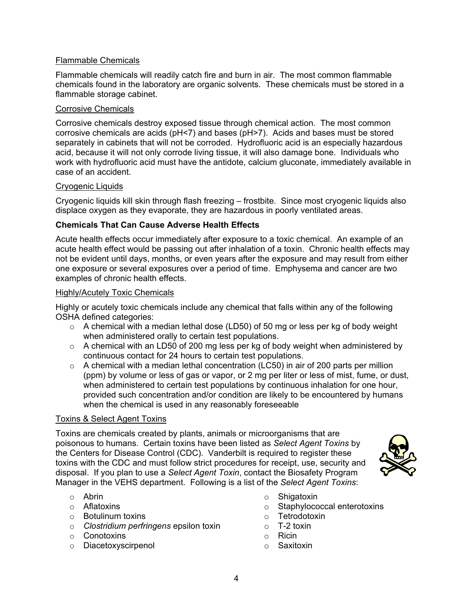#### <span id="page-3-0"></span>Flammable Chemicals

Flammable chemicals will readily catch fire and burn in air. The most common flammable chemicals found in the laboratory are organic solvents. These chemicals must be stored in a flammable storage cabinet.

#### Corrosive Chemicals

Corrosive chemicals destroy exposed tissue through chemical action. The most common corrosive chemicals are acids (pH<7) and bases (pH>7). Acids and bases must be stored separately in cabinets that will not be corroded. Hydrofluoric acid is an especially hazardous acid, because it will not only corrode living tissue, it will also damage bone. Individuals who work with hydrofluoric acid must have the antidote, calcium gluconate, immediately available in case of an accident.

#### Cryogenic Liquids

Cryogenic liquids kill skin through flash freezing – frostbite. Since most cryogenic liquids also displace oxygen as they evaporate, they are hazardous in poorly ventilated areas.

#### **Chemicals That Can Cause Adverse Health Effects**

Acute health effects occur immediately after exposure to a toxic chemical. An example of an acute health effect would be passing out after inhalation of a toxin. Chronic health effects may not be evident until days, months, or even years after the exposure and may result from either one exposure or several exposures over a period of time. Emphysema and cancer are two examples of chronic health effects.

#### Highly/Acutely Toxic Chemicals

Highly or acutely toxic chemicals include any chemical that falls within any of the following OSHA defined categories:

- o A chemical with a median lethal dose (LD50) of 50 mg or less per kg of body weight when administered orally to certain test populations.
- $\circ$  A chemical with an LD50 of 200 mg less per kg of body weight when administered by continuous contact for 24 hours to certain test populations.
- $\circ$  A chemical with a median lethal concentration (LC50) in air of 200 parts per million (ppm) by volume or less of gas or vapor, or 2 mg per liter or less of mist, fume, or dust, when administered to certain test populations by continuous inhalation for one hour, provided such concentration and/or condition are likely to be encountered by humans when the chemical is used in any reasonably foreseeable

#### Toxins & Select Agent Toxins

Toxins are chemicals created by plants, animals or microorganisms that are poisonous to humans. Certain toxins have been listed as *Select Agent Toxins* by the Centers for Disease Control (CDC). Vanderbilt is required to register these toxins with the CDC and must follow strict procedures for receipt, use, security and disposal. If you plan to use a *Select Agent Toxin*, contact the Biosafety Program Manager in the VEHS department. Following is a list of the *Select Agent Toxins*:



- o Abrin
- o Aflatoxins
- o Botulinum toxins
- o *Clostridium perfringens* epsilon toxin
- o Conotoxins
- o Diacetoxyscirpenol
- o Shigatoxin
- o Staphylococcal enterotoxins
- o Tetrodotoxin
- $\circ$  T-2 toxin
- o Ricin
- o Saxitoxin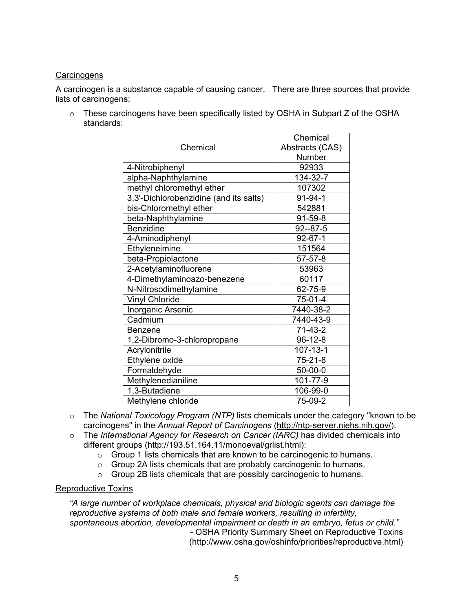### <span id="page-4-0"></span>**Carcinogens**

A carcinogen is a substance capable of causing cancer. There are three sources that provide lists of carcinogens:

o These carcinogens have been specifically listed by OSHA in Subpart Z of the OSHA standards:

| Chemical                               | Chemical        |
|----------------------------------------|-----------------|
|                                        | Abstracts (CAS) |
|                                        | Number          |
| 4-Nitrobiphenyl                        | 92933           |
| alpha-Naphthylamine                    | 134-32-7        |
| methyl chloromethyl ether              | 107302          |
| 3,3'-Dichlorobenzidine (and its salts) | $91 - 94 - 1$   |
| bis-Chloromethyl ether                 | 542881          |
| beta-Naphthylamine                     | 91-59-8         |
| <b>Benzidine</b>                       | $92 - 87 - 5$   |
| 4-Aminodiphenyl                        | $92 - 67 - 1$   |
| Ethyleneimine                          | 151564          |
| beta-Propiolactone                     | $57 - 57 - 8$   |
| 2-Acetylaminofluorene                  | 53963           |
| 4-Dimethylaminoazo-benezene            | 60117           |
| N-Nitrosodimethylamine                 | 62-75-9         |
| <b>Vinyl Chloride</b>                  | $75-01-4$       |
| Inorganic Arsenic                      | 7440-38-2       |
| Cadmium                                | 7440-43-9       |
| <b>Benzene</b>                         | $71-43-2$       |
| 1,2-Dibromo-3-chloropropane            | $96-12-8$       |
| Acrylonitrile                          | $107 - 13 - 1$  |
| Ethylene oxide                         | $75 - 21 - 8$   |
| Formaldehyde                           | 50-00-0         |
| Methylenedianiline                     | 101-77-9        |
| 1,3-Butadiene                          | 106-99-0        |
| Methylene chloride                     | 75-09-2         |

- o The *National Toxicology Program (NTP)* lists chemicals under the category "known to be carcinogens" in the *Annual Report of Carcinogens* (http://ntp-server.niehs.nih.gov/).
- o The *International Agency for Research on Cancer (IARC)* has divided chemicals into different groups (http://193.51.164.11/monoeval/grlist.html):
	- o Group 1 lists chemicals that are known to be carcinogenic to humans.
	- o Group 2A lists chemicals that are probably carcinogenic to humans.
	- o Group 2B lists chemicals that are possibly carcinogenic to humans.

#### Reproductive Toxins

*"A large number of workplace chemicals, physical and biologic agents can damage the reproductive systems of both male and female workers, resulting in infertility, spontaneous abortion, developmental impairment or death in an embryo, fetus or child."* - OSHA Priority Summary Sheet on Reproductive Toxins (http://www.osha.gov/oshinfo/priorities/reproductive.html)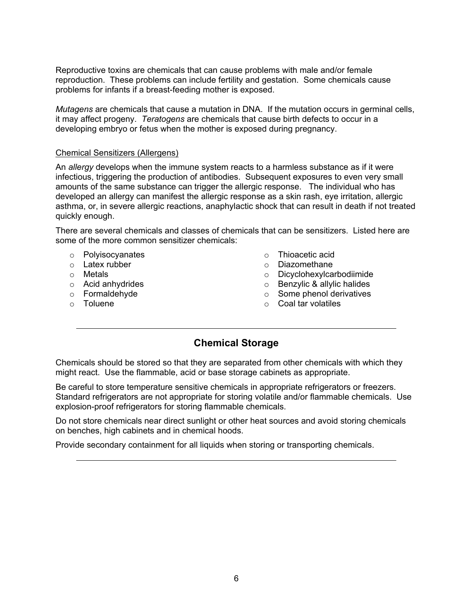<span id="page-5-0"></span>Reproductive toxins are chemicals that can cause problems with male and/or female reproduction. These problems can include fertility and gestation. Some chemicals cause problems for infants if a breast-feeding mother is exposed.

*Mutagens* are chemicals that cause a mutation in DNA. If the mutation occurs in germinal cells, it may affect progeny. *Teratogens* are chemicals that cause birth defects to occur in a developing embryo or fetus when the mother is exposed during pregnancy.

#### Chemical Sensitizers (Allergens)

An *allergy* develops when the immune system reacts to a harmless substance as if it were infectious, triggering the production of antibodies. Subsequent exposures to even very small amounts of the same substance can trigger the allergic response. The individual who has developed an allergy can manifest the allergic response as a skin rash, eye irritation, allergic asthma, or, in severe allergic reactions, anaphylactic shock that can result in death if not treated quickly enough.

There are several chemicals and classes of chemicals that can be sensitizers. Listed here are some of the more common sensitizer chemicals:

- o Polyisocyanates
- o Latex rubber
- o Metals
- o Acid anhydrides
- o Formaldehyde
- o Toluene
- o Thioacetic acid
- o Diazomethane
- o Dicyclohexylcarbodiimide
- o Benzylic & allylic halides
- o Some phenol derivatives
- o Coal tar volatiles

## **Chemical Storage**

Chemicals should be stored so that they are separated from other chemicals with which they might react. Use the flammable, acid or base storage cabinets as appropriate.

Be careful to store temperature sensitive chemicals in appropriate refrigerators or freezers. Standard refrigerators are not appropriate for storing volatile and/or flammable chemicals. Use explosion-proof refrigerators for storing flammable chemicals.

Do not store chemicals near direct sunlight or other heat sources and avoid storing chemicals on benches, high cabinets and in chemical hoods.

Provide secondary containment for all liquids when storing or transporting chemicals.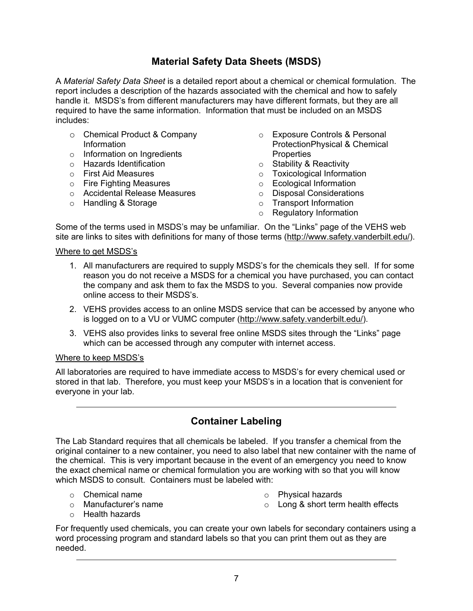## **Material Safety Data Sheets (MSDS)**

<span id="page-6-0"></span>A *Material Safety Data Sheet* is a detailed report about a chemical or chemical formulation. The report includes a description of the hazards associated with the chemical and how to safely handle it. MSDS's from different manufacturers may have different formats, but they are all required to have the same information. Information that must be included on an MSDS includes:

- o Chemical Product & Company Information
- o Information on Ingredients
- o Hazards Identification
- o First Aid Measures
- o Fire Fighting Measures
- o Accidental Release Measures
- o Handling & Storage
- o Exposure Controls & Personal ProtectionPhysical & Chemical **Properties**
- o Stability & Reactivity
- o Toxicological Information
- o Ecological Information
- o Disposal Considerations
- o Transport Information
- o Regulatory Information

Some of the terms used in MSDS's may be unfamiliar. On the "Links" page of the VEHS web site are links to sites with definitions for many of those terms (http://www.safety.vanderbilt.edu/).

#### Where to get MSDS's

- 1. All manufacturers are required to supply MSDS's for the chemicals they sell. If for some reason you do not receive a MSDS for a chemical you have purchased, you can contact the company and ask them to fax the MSDS to you. Several companies now provide online access to their MSDS's.
- 2. VEHS provides access to an online MSDS service that can be accessed by anyone who is logged on to a VU or VUMC computer (http://www.safety.vanderbilt.edu/).
- 3. VEHS also provides links to several free online MSDS sites through the "Links" page which can be accessed through any computer with internet access.

#### Where to keep MSDS's

All laboratories are required to have immediate access to MSDS's for every chemical used or stored in that lab. Therefore, you must keep your MSDS's in a location that is convenient for everyone in your lab.

### **Container Labeling**

The Lab Standard requires that all chemicals be labeled. If you transfer a chemical from the original container to a new container, you need to also label that new container with the name of the chemical. This is very important because in the event of an emergency you need to know the exact chemical name or chemical formulation you are working with so that you will know which MSDS to consult. Containers must be labeled with:

- $\circ$  Chemical name
- o Manufacturer's name
- o Physical hazards
- o Long & short term health effects

o Health hazards

For frequently used chemicals, you can create your own labels for secondary containers using a word processing program and standard labels so that you can print them out as they are needed.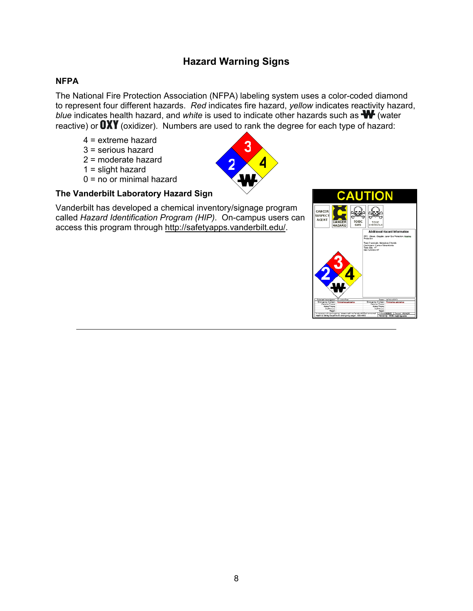## **Hazard Warning Signs**

### <span id="page-7-0"></span>**NFPA**

The National Fire Protection Association (NFPA) labeling system uses a color-coded diamond to represent four different hazards. *Red* indicates fire hazard, *yellow* indicates reactivity hazard, *blue* indicates health hazard, and *white* is used to indicate other hazards such as **W** (water reactive) or  $\mathbf{OXY}$  (oxidizer). Numbers are used to rank the degree for each type of hazard:

**2 4**

- **3** 4 = extreme hazard 3 = serious hazard
- 
- 2 = moderate hazard
- $1 =$  slight hazard
- $0 = no$  or minimal hazard



Vanderbilt has developed a chemical inventory/signage program called *Hazard Identification Program (HIP)*. On-campus users can access this program through http://safetyapps.vanderbilt.edu/.

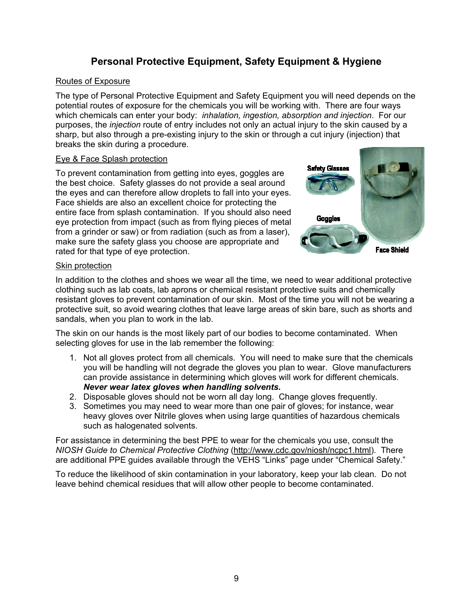## **Personal Protective Equipment, Safety Equipment & Hygiene**

#### <span id="page-8-0"></span>Routes of Exposure

The type of Personal Protective Equipment and Safety Equipment you will need depends on the potential routes of exposure for the chemicals you will be working with. There are four ways which chemicals can enter your body: *inhalation, ingestion, absorption and injection*. For our purposes, the *injection* route of entry includes not only an actual injury to the skin caused by a sharp, but also through a pre-existing injury to the skin or through a cut injury (injection) that breaks the skin during a procedure.

### Eye & Face Splash protection

To prevent contamination from getting into eyes, goggles are the best choice. Safety glasses do not provide a seal around the eyes and can therefore allow droplets to fall into your eyes. Face shields are also an excellent choice for protecting the entire face from splash contamination. If you should also need eye protection from impact (such as from flying pieces of metal from a grinder or saw) or from radiation (such as from a laser), make sure the safety glass you choose are appropriate and rated for that type of eye protection.



### Skin protection

In addition to the clothes and shoes we wear all the time, we need to wear additional protective clothing such as lab coats, lab aprons or chemical resistant protective suits and chemically resistant gloves to prevent contamination of our skin. Most of the time you will not be wearing a protective suit, so avoid wearing clothes that leave large areas of skin bare, such as shorts and sandals, when you plan to work in the lab.

The skin on our hands is the most likely part of our bodies to become contaminated. When selecting gloves for use in the lab remember the following:

- 1. Not all gloves protect from all chemicals. You will need to make sure that the chemicals you will be handling will not degrade the gloves you plan to wear. Glove manufacturers can provide assistance in determining which gloves will work for different chemicals. *Never wear latex gloves when handling solvents.*
- 2. Disposable gloves should not be worn all day long. Change gloves frequently.
- 3. Sometimes you may need to wear more than one pair of gloves; for instance, wear heavy gloves over Nitrile gloves when using large quantities of hazardous chemicals such as halogenated solvents.

For assistance in determining the best PPE to wear for the chemicals you use, consult the *NIOSH Guide to Chemical Protective Clothing* (http://www.cdc.gov/niosh/ncpc1.html). There are additional PPE guides available through the VEHS "Links" page under "Chemical Safety."

To reduce the likelihood of skin contamination in your laboratory, keep your lab clean. Do not leave behind chemical residues that will allow other people to become contaminated.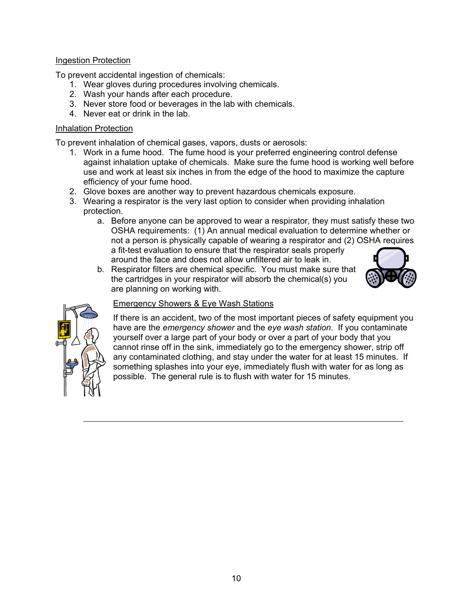### <span id="page-9-0"></span>Ingestion Protection

To prevent accidental ingestion of chemicals:

- 1. Wear gloves during procedures involving chemicals.
- 2. Wash your hands after each procedure.
- 3. Never store food or beverages in the lab with chemicals.
- 4. Never eat or drink in the lab.

#### Inhalation Protection

To prevent inhalation of chemical gases, vapors, dusts or aerosols:

- 1. Work in a fume hood. The fume hood is your preferred engineering control defense against inhalation uptake of chemicals. Make sure the fume hood is working well before use and work at least six inches in from the edge of the hood to maximize the capture efficiency of your fume hood.
- 2. Glove boxes are another way to prevent hazardous chemicals exposure.
- 3. Wearing a respirator is the very last option to consider when providing inhalation protection.
	- a. Before anyone can be approved to wear a respirator, they must satisfy these two OSHA requirements: (1) An annual medical evaluation to determine whether or not a person is physically capable of wearing a respirator and (2) OSHA requires a fit-test evaluation to ensure that the respirator seals properly around the face and does not allow unfiltered air to leak in.
	- b. Respirator filters are chemical specific. You must make sure that the cartridges in your respirator will absorb the chemical(s) you are planning on working with.





### Emergency Showers & Eye Wash Stations

If there is an accident, two of the most important pieces of safety equipment you have are the *emergency shower* and the *eye wash station*. If you contaminate yourself over a large part of your body or over a part of your body that you cannot rinse off in the sink, immediately go to the emergency shower, strip off any contaminated clothing, and stay under the water for at least 15 minutes. If something splashes into your eye, immediately flush with water for as long as possible. The general rule is to flush with water for 15 minutes.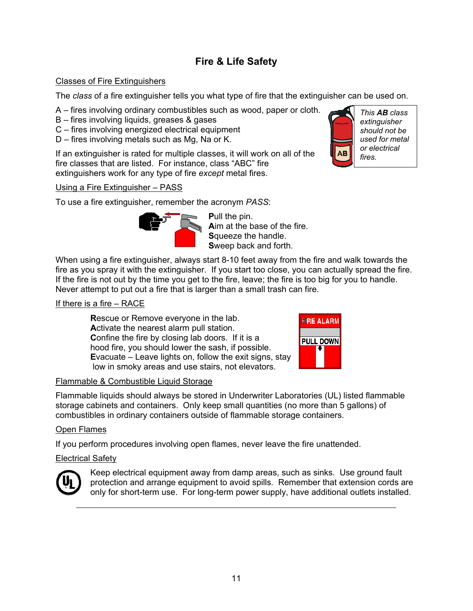# **Fire & Life Safety**

### <span id="page-10-0"></span>Classes of Fire Extinguishers

The *class* of a fire extinguisher tells you what type of fire that the extinguisher can be used on.

A – fires involving ordinary combustibles such as wood, paper or cloth. *This AB class* 

- B fires involving liquids, greases & gases
- C fires involving energized electrical equipment
- D fires involving metals such as Mg, Na or K.

If an extinguisher is rated for multiple classes, it will work on all of the fire classes that are listed. For instance, class "ABC" fire extinguishers work for any type of fire *except* metal fires.

#### Using a Fire Extinguisher – PASS

To use a fire extinguisher, remember the acronym *PASS*:



**P**ull the pin. **Aim at the base of the fire. S**queeze the handle. **S**weep back and forth.

When using a fire extinguisher, always start 8-10 feet away from the fire and walk towards the fire as you spray it with the extinguisher. If you start too close, you can actually spread the fire. If the fire is not out by the time you get to the fire, leave; the fire is too big for you to handle. Never attempt to put out a fire that is larger than a small trash can fire.

#### If there is a fire – RACE

**R**escue or Remove everyone in the lab. **A**ctivate the nearest alarm pull station. **C**onfine the fire by closing lab doors. If it is a hood fire, you should lower the sash, if possible. **E**vacuate – Leave lights on, follow the exit signs, stay low in smoky areas and use stairs, not elevators.



#### Flammable & Combustible Liquid Storage

Flammable liquids should always be stored in Underwriter Laboratories (UL) listed flammable storage cabinets and containers. Only keep small quantities (no more than 5 gallons) of combustibles in ordinary containers outside of flammable storage containers.

#### Open Flames

If you perform procedures involving open flames, never leave the fire unattended.

#### Electrical Safety



Keep electrical equipment away from damp areas, such as sinks. Use ground fault protection and arrange equipment to avoid spills. Remember that extension cords are only for short-term use. For long-term power supply, have additional outlets installed.



*extinguisher should not be used for metal or electrical fires.*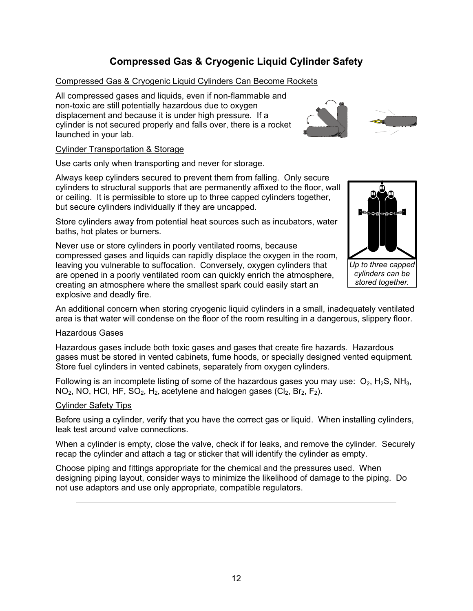# **Compressed Gas & Cryogenic Liquid Cylinder Safety**

### <span id="page-11-0"></span>Compressed Gas & Cryogenic Liquid Cylinders Can Become Rockets

All compressed gases and liquids, even if non-flammable and non-toxic are still potentially hazardous due to oxygen displacement and because it is under high pressure. If a cylinder is not secured properly and falls over, there is a rocket launched in your lab.

#### Cylinder Transportation & Storage

Use carts only when transporting and never for storage.

Always keep cylinders secured to prevent them from falling. Only secure cylinders to structural supports that are permanently affixed to the floor, wall or ceiling. It is permissible to store up to three capped cylinders toget her, but secure cylinders individually if they are uncapped.

Store cylinders away from potential heat sources such as incubators, water baths, hot plates or burners.

Never use or store cylinders in poorly ventilated rooms, because compressed gases and liquids can rapidly displace the oxygen in the room, leaving you vulnerable to suffocation. Conversely, oxygen cylinders that are opened in a poorly ventilated room can quickly enrich the atmosphere, creating an atmosphere where the smallest spark could easily start an explosive and deadly fire.

An additional concern when storing cryogenic liquid cylinders in a small, inadequately ventilated area is that water will condense on the floor of the room resulting in a dangerous, slippery floor.

#### Hazardous Gases

Hazardous gases include both toxic gases and gases that create fire hazards. Hazardous gases must be stored in vented cabinets, fume hoods, or specially designed vented equipment. Store fuel cylinders in vented cabinets, separately from oxygen cylinders.

Following is an incomplete listing of some of the hazardous gases you may use:  $O_2$ , H<sub>2</sub>S, NH<sub>3</sub>,  $NO<sub>2</sub>$ , NO, HCl, HF, SO<sub>2</sub>, H<sub>2</sub>, acetylene and halogen gases (Cl<sub>2</sub>, Br<sub>2</sub>, F<sub>2</sub>).

#### Cylinder Safety Tips

Before using a cylinder, verify that you have the correct gas or liquid. When installing cylinders, leak test around valve connections.

When a cylinder is empty, close the valve, check if for leaks, and remove the cylinder. Securely recap the cylinder and attach a tag or sticker that will identify the cylinder as empty.

Choose piping and fittings appropriate for the chemical and the pressures used. When designing piping layout, consider ways to minimize the likelihood of damage to the piping. Do not use adaptors and use only appropriate, compatible regulators.



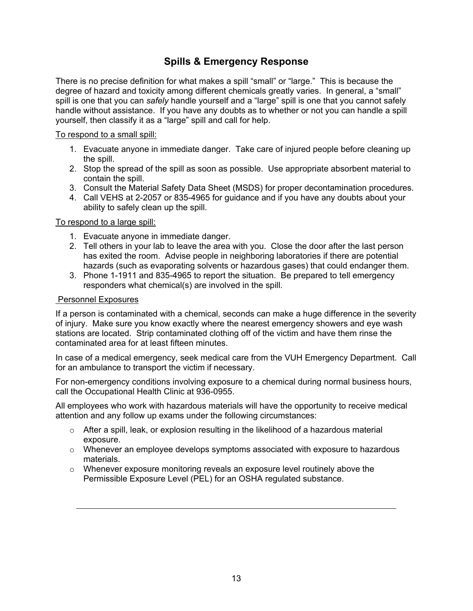## **Spills & Emergency Response**

<span id="page-12-0"></span>There is no precise definition for what makes a spill "small" or "large." This is because the degree of hazard and toxicity among different chemicals greatly varies. In general, a "small" spill is one that you can *safely* handle yourself and a "large" spill is one that you cannot safely handle without assistance. If you have any doubts as to whether or not you can handle a spill yourself, then classify it as a "large" spill and call for help.

#### To respond to a small spill:

- 1. Evacuate anyone in immediate danger. Take care of injured people before cleaning up the spill.
- 2. Stop the spread of the spill as soon as possible. Use appropriate absorbent material to contain the spill.
- 3. Consult the Material Safety Data Sheet (MSDS) for proper decontamination procedures.
- 4. Call VEHS at 2-2057 or 835-4965 for guidance and if you have any doubts about your ability to safely clean up the spill.

### To respond to a large spill:

- 1. Evacuate anyone in immediate danger.
- 2. Tell others in your lab to leave the area with you. Close the door after the last person has exited the room. Advise people in neighboring laboratories if there are potential hazards (such as evaporating solvents or hazardous gases) that could endanger them.
- 3. Phone 1-1911 and 835-4965 to report the situation. Be prepared to tell emergency responders what chemical(s) are involved in the spill.

#### Personnel Exposures

If a person is contaminated with a chemical, seconds can make a huge difference in the severity of injury. Make sure you know exactly where the nearest emergency showers and eye wash stations are located. Strip contaminated clothing off of the victim and have them rinse the contaminated area for at least fifteen minutes.

In case of a medical emergency, seek medical care from the VUH Emergency Department. Call for an ambulance to transport the victim if necessary.

For non-emergency conditions involving exposure to a chemical during normal business hours, call the Occupational Health Clinic at 936-0955.

All employees who work with hazardous materials will have the opportunity to receive medical attention and any follow up exams under the following circumstances:

- $\circ$  After a spill, leak, or explosion resulting in the likelihood of a hazardous material exposure.
- o Whenever an employee develops symptoms associated with exposure to hazardous materials.
- $\circ$  Whenever exposure monitoring reveals an exposure level routinely above the Permissible Exposure Level (PEL) for an OSHA regulated substance.